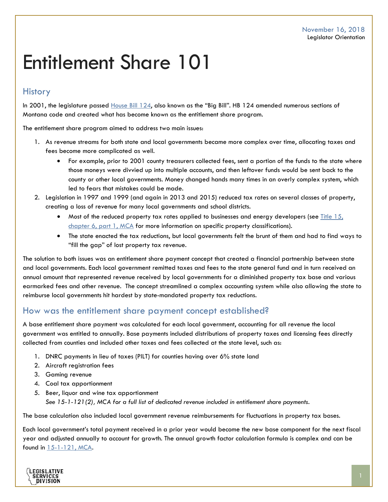# Entitlement Share 101

### **History**

In 2001, the legislature passed [House Bill 124,](http://laws.leg.mt.gov/legprd/LAW0203W$BSRV.ActionQuery?P_SESS=20011&P_BLTP_BILL_TYP_CD=HB&P_BILL_NO=124&P_BILL_DFT_NO=&P_CHPT_NO=&Z_ACTION=Find&P_ENTY_ID_SEQ2=&P_SBJT_SBJ_CD=&P_ENTY_ID_SEQ=) also known as the "Big Bill". HB 124 amended numerous sections of Montana code and created what has become known as the entitlement share program.

The entitlement share program aimed to address two main issues:

- 1. As revenue streams for both state and local governments became more complex over time, allocating taxes and fees become more complicated as well.
	- For example, prior to 2001 county treasurers collected fees, sent a portion of the funds to the state where those moneys were divvied up into multiple accounts, and then leftover funds would be sent back to the county or other local governments. Money changed hands many times in an overly complex system, which led to fears that mistakes could be made.
- 2. Legislation in 1997 and 1999 (and again in 2013 and 2015) reduced tax rates on several classes of property, creating a loss of revenue for many local governments and school districts.
	- Most of the reduced property tax rates applied to businesses and energy developers (see Title  $15<sub>i</sub>$ [chapter 6, part 1, MCA](https://leg.mt.gov/bills/mca/title_0150/chapter_0060/part_0010/sections_index.html) for more information on specific property classifications).
	- The state enacted the tax reductions, but local governments felt the brunt of them and had to find ways to "fill the gap" of lost property tax revenue.

The solution to both issues was an entitlement share payment concept that created a financial partnership between state and local governments. Each local government remitted taxes and fees to the state general fund and in turn received an annual amount that represented revenue received by local governments for a diminished property tax base and various earmarked fees and other revenue. The concept streamlined a complex accounting system while also allowing the state to reimburse local governments hit hardest by state-mandated property tax reductions.

#### How was the entitlement share payment concept established?

A base entitlement share payment was calculated for each local government, accounting for all revenue the local government was entitled to annually. Base payments included distributions of property taxes and licensing fees directly collected from counties and included other taxes and fees collected at the state level, such as:

- 1. DNRC payments in lieu of taxes (PILT) for counties having over 6% state land
- 2. Aircraft registration fees
- 3. Gaming revenue
- 4. Coal tax apportionment
- 5. Beer, liquor and wine tax apportionment *See 15-1-121(2), MCA for a full list of dedicated revenue included in entitlement share payments.*

The base calculation also included local government revenue reimbursements for fluctuations in property tax bases.

Each local government's total payment received in a prior year would become the new base component for the next fiscal year and adjusted annually to account for growth. The annual growth factor calculation formula is complex and can be found in [15-1-121, MCA.](https://leg.mt.gov/bills/mca/title_0150/chapter_0010/part_0010/section_0210/0150-0010-0010-0210.html)